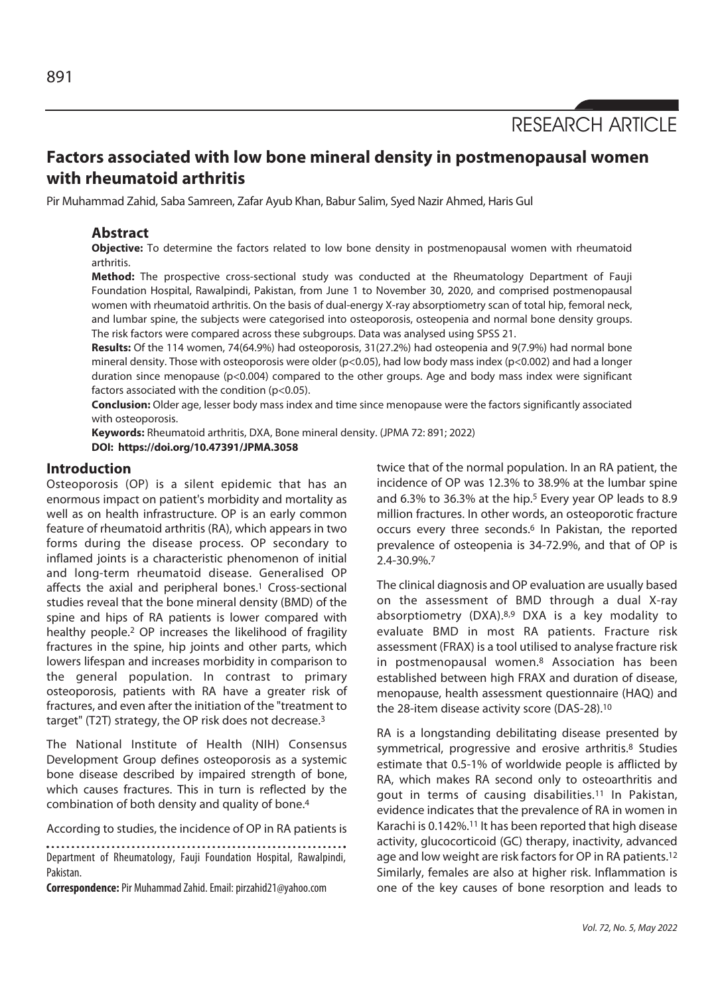RESEARCH ARTICLE

# **Factors associated with low bone mineral density in postmenopausal women with rheumatoid arthritis**

Pir Muhammad Zahid, Saba Samreen, Zafar Ayub Khan, Babur Salim, Syed Nazir Ahmed, Haris Gul

# **Abstract**

**Objective:** To determine the factors related to low bone density in postmenopausal women with rheumatoid arthritis.

**Method:** The prospective cross-sectional study was conducted at the Rheumatology Department of Fauji Foundation Hospital, Rawalpindi, Pakistan, from June 1 to November 30, 2020, and comprised postmenopausal women with rheumatoid arthritis. On the basis of dual-energy X-ray absorptiometry scan of total hip, femoral neck, and lumbar spine, the subjects were categorised into osteoporosis, osteopenia and normal bone density groups. The risk factors were compared across these subgroups. Data was analysed using SPSS 21.

**Results:** Of the 114 women, 74(64.9%) had osteoporosis, 31(27.2%) had osteopenia and 9(7.9%) had normal bone mineral density. Those with osteoporosis were older (p<0.05), had low body mass index (p<0.002) and had a longer duration since menopause (p<0.004) compared to the other groups. Age and body mass index were significant factors associated with the condition (p<0.05).

**Conclusion:** Older age, lesser body mass index and time since menopause were the factors significantly associated with osteoporosis.

**Keywords:** Rheumatoid arthritis, DXA, Bone mineral density. (JPMA 72: 891; 2022) **DOI: https://doi.org/10.47391/JPMA.3058** 

# **Introduction**

Osteoporosis (OP) is a silent epidemic that has an enormous impact on patient's morbidity and mortality as well as on health infrastructure. OP is an early common feature of rheumatoid arthritis (RA), which appears in two forms during the disease process. OP secondary to inflamed joints is a characteristic phenomenon of initial and long-term rheumatoid disease. Generalised OP affects the axial and peripheral bones.<sup>1</sup> Cross-sectional studies reveal that the bone mineral density (BMD) of the spine and hips of RA patients is lower compared with healthy people.2 OP increases the likelihood of fragility fractures in the spine, hip joints and other parts, which lowers lifespan and increases morbidity in comparison to the general population. In contrast to primary osteoporosis, patients with RA have a greater risk of fractures, and even after the initiation of the "treatment to target" (T2T) strategy, the OP risk does not decrease.3

The National Institute of Health (NIH) Consensus Development Group defines osteoporosis as a systemic bone disease described by impaired strength of bone, which causes fractures. This in turn is reflected by the combination of both density and quality of bone.4

According to studies, the incidence of OP in RA patients is

Department of Rheumatology, Fauji Foundation Hospital, Rawalpindi, Pakistan.

**Correspondence:** Pir Muhammad Zahid. Email: pirzahid21@yahoo.com

twice that of the normal population. In an RA patient, the incidence of OP was 12.3% to 38.9% at the lumbar spine and 6.3% to 36.3% at the hip.<sup>5</sup> Every year OP leads to 8.9 million fractures. In other words, an osteoporotic fracture occurs every three seconds.<sup>6</sup> In Pakistan, the reported prevalence of osteopenia is 34-72.9%, and that of OP is 2.4-30.9%.7

The clinical diagnosis and OP evaluation are usually based on the assessment of BMD through a dual X-ray absorptiometry (DXA).8,9 DXA is a key modality to evaluate BMD in most RA patients. Fracture risk assessment (FRAX) is a tool utilised to analyse fracture risk in postmenopausal women.8 Association has been established between high FRAX and duration of disease, menopause, health assessment questionnaire (HAQ) and the 28-item disease activity score (DAS-28).10

RA is a longstanding debilitating disease presented by symmetrical, progressive and erosive arthritis.8 Studies estimate that 0.5-1% of worldwide people is afflicted by RA, which makes RA second only to osteoarthritis and gout in terms of causing disabilities.11 In Pakistan, evidence indicates that the prevalence of RA in women in Karachi is 0.142%.11 It has been reported that high disease activity, glucocorticoid (GC) therapy, inactivity, advanced age and low weight are risk factors for OP in RA patients.12 Similarly, females are also at higher risk. Inflammation is one of the key causes of bone resorption and leads to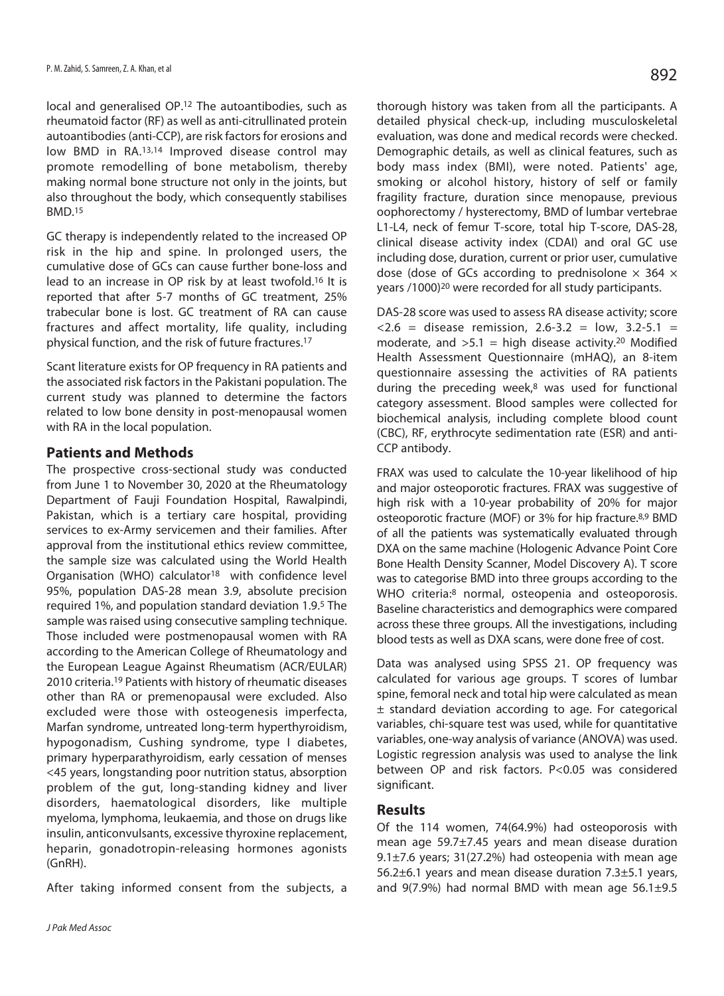local and generalised OP.12 The autoantibodies, such as rheumatoid factor (RF) as well as anti-citrullinated protein autoantibodies (anti-CCP), are risk factors for erosions and low BMD in RA.13,14 Improved disease control may promote remodelling of bone metabolism, thereby making normal bone structure not only in the joints, but also throughout the body, which consequently stabilises BMD.15

GC therapy is independently related to the increased OP risk in the hip and spine. In prolonged users, the cumulative dose of GCs can cause further bone-loss and lead to an increase in OP risk by at least twofold.16 It is reported that after 5-7 months of GC treatment, 25% trabecular bone is lost. GC treatment of RA can cause fractures and affect mortality, life quality, including physical function, and the risk of future fractures.17

Scant literature exists for OP frequency in RA patients and the associated risk factors in the Pakistani population. The current study was planned to determine the factors related to low bone density in post-menopausal women with RA in the local population.

# **Patients and Methods**

The prospective cross-sectional study was conducted from June 1 to November 30, 2020 at the Rheumatology Department of Fauji Foundation Hospital, Rawalpindi, Pakistan, which is a tertiary care hospital, providing services to ex-Army servicemen and their families. After approval from the institutional ethics review committee, the sample size was calculated using the World Health Organisation (WHO) calculator<sup>18</sup> with confidence level 95%, population DAS-28 mean 3.9, absolute precision required 1%, and population standard deviation 1.9.5 The sample was raised using consecutive sampling technique. Those included were postmenopausal women with RA according to the American College of Rheumatology and the European League Against Rheumatism (ACR/EULAR) 2010 criteria.19 Patients with history of rheumatic diseases other than RA or premenopausal were excluded. Also excluded were those with osteogenesis imperfecta, Marfan syndrome, untreated long-term hyperthyroidism, hypogonadism, Cushing syndrome, type I diabetes, primary hyperparathyroidism, early cessation of menses <45 years, longstanding poor nutrition status, absorption problem of the gut, long-standing kidney and liver disorders, haematological disorders, like multiple myeloma, lymphoma, leukaemia, and those on drugs like insulin, anticonvulsants, excessive thyroxine replacement, heparin, gonadotropin-releasing hormones agonists (GnRH).

After taking informed consent from the subjects, a

thorough history was taken from all the participants. A detailed physical check-up, including musculoskeletal evaluation, was done and medical records were checked. Demographic details, as well as clinical features, such as body mass index (BMI), were noted. Patients' age, smoking or alcohol history, history of self or family fragility fracture, duration since menopause, previous oophorectomy / hysterectomy, BMD of lumbar vertebrae L1-L4, neck of femur T-score, total hip T-score, DAS-28, clinical disease activity index (CDAI) and oral GC use including dose, duration, current or prior user, cumulative dose (dose of GCs according to prednisolone  $\times$  364  $\times$ years /1000)20 were recorded for all study participants.

DAS-28 score was used to assess RA disease activity; score  $\langle 2.6 =$  disease remission, 2.6-3.2 = low, 3.2-5.1 = moderate, and  $>5.1$  = high disease activity.<sup>20</sup> Modified Health Assessment Questionnaire (mHAQ), an 8-item questionnaire assessing the activities of RA patients during the preceding week, $8$  was used for functional category assessment. Blood samples were collected for biochemical analysis, including complete blood count (CBC), RF, erythrocyte sedimentation rate (ESR) and anti-CCP antibody.

FRAX was used to calculate the 10-year likelihood of hip and major osteoporotic fractures. FRAX was suggestive of high risk with a 10-year probability of 20% for major osteoporotic fracture (MOF) or 3% for hip fracture.8,9 BMD of all the patients was systematically evaluated through DXA on the same machine (Hologenic Advance Point Core Bone Health Density Scanner, Model Discovery A). T score was to categorise BMD into three groups according to the WHO criteria:<sup>8</sup> normal, osteopenia and osteoporosis. Baseline characteristics and demographics were compared across these three groups. All the investigations, including blood tests as well as DXA scans, were done free of cost.

Data was analysed using SPSS 21. OP frequency was calculated for various age groups. T scores of lumbar spine, femoral neck and total hip were calculated as mean ± standard deviation according to age. For categorical variables, chi-square test was used, while for quantitative variables, one-way analysis of variance (ANOVA) was used. Logistic regression analysis was used to analyse the link between OP and risk factors. P<0.05 was considered significant.

# **Results**

Of the 114 women, 74(64.9%) had osteoporosis with mean age 59.7±7.45 years and mean disease duration 9.1±7.6 years; 31(27.2%) had osteopenia with mean age 56.2±6.1 years and mean disease duration 7.3±5.1 years, and  $9(7.9%)$  had normal BMD with mean age  $56.1\pm9.5$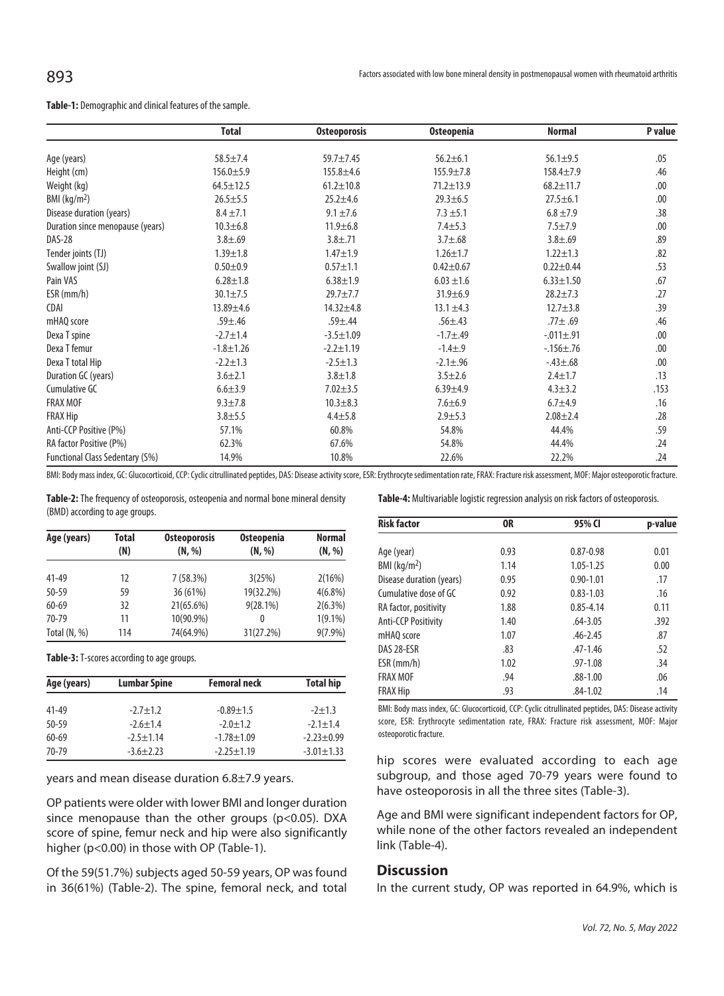#### **Table-1:** Demographic and clinical features of the sample.

|                                  | <b>Total</b>    | <b>Osteoporosis</b> | <b>Osteopenia</b> | <b>Normal</b>     | P value |
|----------------------------------|-----------------|---------------------|-------------------|-------------------|---------|
| Age (years)                      | $58.5 \pm 7.4$  | $59.7 + 7.45$       | $56.2 \pm 6.1$    | $56.1 \pm 9.5$    | .05     |
| Height (cm)                      | $156.0 + 5.9$   | $155.8 + 4.6$       | $155.9 + 7.8$     | $158.4 + 7.9$     | .46     |
| Weight (kg)                      | $64.5 \pm 12.5$ | $61.2 \pm 10.8$     | $71.2 \pm 13.9$   | $68.2 \pm 11.7$   | .00     |
| BMI (kg/m <sup>2</sup> )         | $26.5 \pm 5.5$  | $25.2 + 4.6$        | $29.3 \pm 6.5$    | $27.5 \pm 6.1$    | .00     |
| Disease duration (years)         | $8.4 \pm 7.1$   | $9.1 \pm 7.6$       | $7.3 \pm 5.1$     | $6.8 \pm 7.9$     | .38     |
|                                  |                 |                     |                   |                   |         |
| Duration since menopause (years) | $10.3 + 6.8$    | $11.9 \pm 6.8$      | $7.4 + 5.3$       | $7.5 + 7.9$       | .00     |
| <b>DAS-28</b>                    | $3.8 + .69$     | $3.8 + .71$         | $3.7 \pm .68$     | $3.8 + .69$       | .89     |
| Tender joints (TJ)               | $1.39 \pm 1.8$  | $1.47 + 1.9$        | $1.26 \pm 1.7$    | $1.22 \pm 1.3$    | .82     |
| Swallow joint (SJ)               | $0.50 + 0.9$    | $0.57 + 1.1$        | $0.42 \pm 0.67$   | $0.22 \pm 0.44$   | .53     |
| Pain VAS                         | $6.28 \pm 1.8$  | $6.38 \pm 1.9$      | $6.03 \pm 1.6$    | $6.33 \pm 1.50$   | .67     |
| $ESR$ (mm/h)                     | $30.1 \pm 7.5$  | $29.7 \pm 7.7$      | $31.9 \pm 6.9$    | $28.2 \pm 7.3$    | .27     |
| <b>CDAI</b>                      | 13.89±4.6       | $14.32 + 4.8$       | $13.1 \pm 4.3$    | $12.7 + 3.8$      | .39     |
| mHAQ score                       | $.59 + .46$     | $.59 + .44$         | $.56{\pm}.43$     | $.77 \pm .69$     | .46     |
| Dexa T spine                     | $-2.7 \pm 1.4$  | $-3.5 \pm 1.09$     | $-1.7 + .49$      | $-.011 \pm .91$   | .00     |
| Dexa T femur                     | $-1.8 \pm 1.26$ | $-2.2 \pm 1.19$     | $-1.4 \pm .9$     | $-0.156 \pm 0.76$ | .00     |
| Dexa T total Hip                 | $-2.2 \pm 1.3$  | $-2.5 \pm 1.3$      | $-2.1 \pm .96$    | $-.43 \pm .68$    | .00     |
| Duration GC (years)              | $3.6 + 2.1$     | $3.8 + 1.8$         | $3.5 + 2.6$       | $2.4 \pm 1.7$     | .13     |
| Cumulative GC                    | $6.6 + 3.9$     | $7.02 + 3.5$        | $6.39 + 4.9$      | $4.3 \pm 3.2$     | .153    |
| <b>FRAX MOF</b>                  | $9.3 \pm 7.8$   | $10.3 + 8.3$        | $7.6 + 6.9$       | $6.7 + 4.9$       | .16     |
| <b>FRAX Hip</b>                  | $3.8 + 5.5$     | $4.4 + 5.8$         | $2.9 + 5.3$       | $2.08 + 2.4$      | .28     |
| Anti-CCP Positive (P%)           | 57.1%           | 60.8%               | 54.8%             | 44.4%             | .59     |
| RA factor Positive (P%)          | 62.3%           | 67.6%               | 54.8%             | 44.4%             | .24     |
| Functional Class Sedentary (S%)  | 14.9%           | 10.8%               | 22.6%             | 22.2%             | .24     |

BMI: Body mass index, GC: Glucocorticoid, CCP: Cyclic citrullinated peptides, DAS: Disease activity score, ESR: Erythrocyte sedimentation rate, FRAX: Fracture risk assessment, MOF: Major osteoporotic fracture.

**Table-2:** The frequency of osteoporosis, osteopenia and normal bone mineral density (BMD) according to age groups.

| Age (years)    | Total | <b>Osteoporosis</b> | Osteopenia  | <b>Normal</b> |
|----------------|-------|---------------------|-------------|---------------|
|                | (N)   | (N, %)              | (N, %)      | (N, %)        |
| 41-49          | 12    | 7(58.3%)            | 3(25%)      | 2(16%)        |
| 50-59          | 59    | 36 (61%)            | 19(32.2%)   | $4(6.8\%)$    |
| $60 - 69$      | 32    | 21(65.6%)           | $9(28.1\%)$ | 2(6.3%)       |
| 70-79          | 11    | 10(90.9%)           | $\theta$    | $1(9.1\%)$    |
| Total $(N, %)$ | 114   | 74(64.9%)           | 31(27.2%)   | $9(7.9\%)$    |

**Table-3:** T-scores according to age groups.

| Age (years) | <b>Lumbar Spine</b> | <b>Femoral neck</b> | <b>Total hip</b> |
|-------------|---------------------|---------------------|------------------|
| $41 - 49$   | $-2.7 \pm 1.2$      | $-0.89 \pm 1.5$     | $-2+1.3$         |
| $50 - 59$   | $-2.6 + 1.4$        | $-2.0 \pm 1.2$      | $-2.1 \pm 1.4$   |
| $60 - 69$   | $-2.5 + 1.14$       | $-1.78 + 1.09$      | $-2.23 + 0.99$   |
| 70-79       | $-3.6+2.23$         | $-2.25 \pm 1.19$    | $-3.01 \pm 1.33$ |

years and mean disease duration 6.8±7.9 years.

OP patients were older with lower BMI and longer duration since menopause than the other groups (p<0.05). DXA score of spine, femur neck and hip were also significantly higher (p<0.00) in those with OP (Table-1).

Of the 59(51.7%) subjects aged 50-59 years, OP was found in 36(61%) (Table-2). The spine, femoral neck, and total **Table-4:** Multivariable logistic regression analysis on risk factors of osteoporosis.

| <b>Risk factor</b>         | 0R   | 95% CI        | p-value |
|----------------------------|------|---------------|---------|
| Age (year)                 | 0.93 | $0.87 - 0.98$ | 0.01    |
| $BMl$ (kg/m <sup>2</sup> ) | 1.14 | $1.05 - 1.25$ | 0.00    |
| Disease duration (years)   | 0.95 | $0.90 - 1.01$ | .17     |
| Cumulative dose of GC      | 0.92 | $0.83 - 1.03$ | .16     |
| RA factor, positivity      | 1.88 | $0.85 - 4.14$ | 0.11    |
| <b>Anti-CCP Positivity</b> | 1.40 | $.64 - 3.05$  | .392    |
| mHAO score                 | 1.07 | $.46 - 2.45$  | .87     |
| DAS 28-ESR                 | .83  | $.47 - 1.46$  | .52     |
| $ESR$ (mm/h)               | 1.02 | .97-1.08      | .34     |
| <b>FRAX MOF</b>            | .94  | .88-1.00      | .06     |
| <b>FRAX Hip</b>            | .93  | $.84 - 1.02$  | .14     |

BMI: Body mass index, GC: Glucocorticoid, CCP: Cyclic citrullinated peptides, DAS: Disease activity score, ESR: Erythrocyte sedimentation rate, FRAX: Fracture risk assessment, MOF: Major osteoporotic fracture.

hip scores were evaluated according to each age subgroup, and those aged 70-79 years were found to have osteoporosis in all the three sites (Table-3).

Age and BMI were significant independent factors for OP, while none of the other factors revealed an independent link (Table-4).

# **Discussion**

In the current study, OP was reported in 64.9%, which is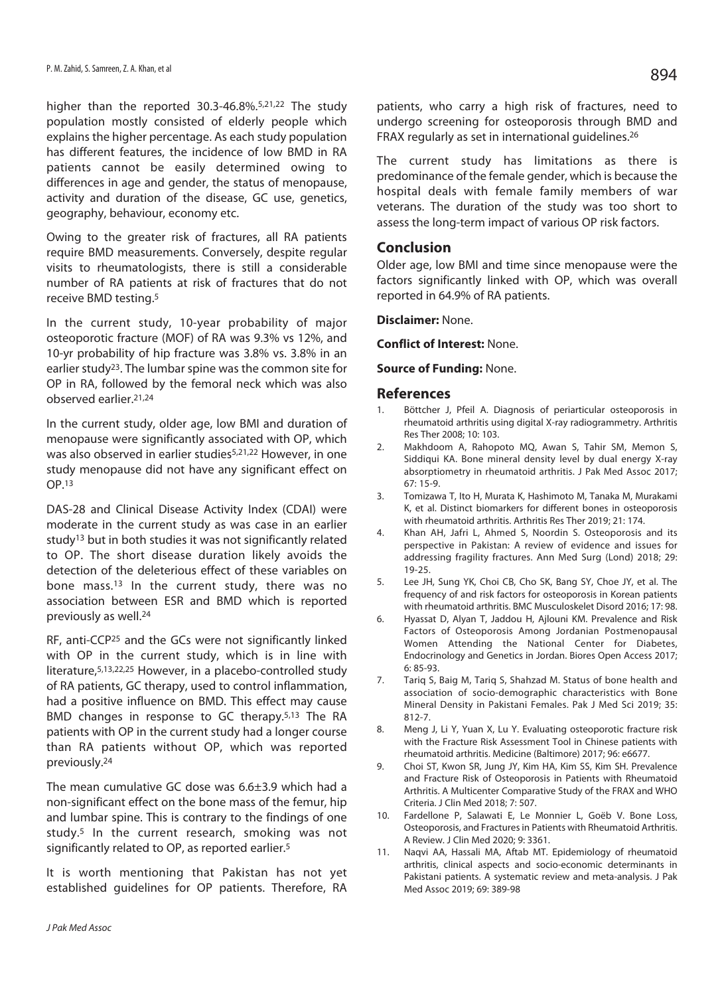higher than the reported 30.3-46.8%.5,21,22 The study population mostly consisted of elderly people which explains the higher percentage. As each study population has different features, the incidence of low BMD in RA patients cannot be easily determined owing to differences in age and gender, the status of menopause, activity and duration of the disease, GC use, genetics, geography, behaviour, economy etc.

Owing to the greater risk of fractures, all RA patients require BMD measurements. Conversely, despite regular visits to rheumatologists, there is still a considerable number of RA patients at risk of fractures that do not receive BMD testing.5

In the current study, 10-year probability of major osteoporotic fracture (MOF) of RA was 9.3% vs 12%, and 10-yr probability of hip fracture was 3.8% vs. 3.8% in an earlier study23. The lumbar spine was the common site for OP in RA, followed by the femoral neck which was also observed earlier.21,24

In the current study, older age, low BMI and duration of menopause were significantly associated with OP, which was also observed in earlier studies<sup>5,21,22</sup> However, in one study menopause did not have any significant effect on OP.13

DAS-28 and Clinical Disease Activity Index (CDAI) were moderate in the current study as was case in an earlier study<sup>13</sup> but in both studies it was not significantly related to OP. The short disease duration likely avoids the detection of the deleterious effect of these variables on bone mass.13 In the current study, there was no association between ESR and BMD which is reported previously as well.24

RF, anti-CCP25 and the GCs were not significantly linked with OP in the current study, which is in line with literature,5,13,22,25 However, in a placebo-controlled study of RA patients, GC therapy, used to control inflammation, had a positive influence on BMD. This effect may cause BMD changes in response to GC therapy.<sup>5,13</sup> The RA patients with OP in the current study had a longer course than RA patients without OP, which was reported previously.24

The mean cumulative GC dose was 6.6±3.9 which had a non-significant effect on the bone mass of the femur, hip and lumbar spine. This is contrary to the findings of one study.5 In the current research, smoking was not significantly related to OP, as reported earlier.<sup>5</sup>

It is worth mentioning that Pakistan has not yet established guidelines for OP patients. Therefore, RA

patients, who carry a high risk of fractures, need to undergo screening for osteoporosis through BMD and FRAX regularly as set in international guidelines.26

The current study has limitations as there is predominance of the female gender, which is because the hospital deals with female family members of war veterans. The duration of the study was too short to assess the long-term impact of various OP risk factors.

# **Conclusion**

Older age, low BMI and time since menopause were the factors significantly linked with OP, which was overall reported in 64.9% of RA patients.

### **Disclaimer:** None.

**Conflict of Interest:** None.

#### **Source of Funding:** None.

### **References**

- 1. Böttcher J, Pfeil A. Diagnosis of periarticular osteoporosis in rheumatoid arthritis using digital X-ray radiogrammetry. Arthritis Res Ther 2008; 10: 103.
- 2. Makhdoom A, Rahopoto MQ, Awan S, Tahir SM, Memon S, Siddiqui KA. Bone mineral density level by dual energy X-ray absorptiometry in rheumatoid arthritis. J Pak Med Assoc 2017; 67: 15-9.
- 3. Tomizawa T, Ito H, Murata K, Hashimoto M, Tanaka M, Murakami K, et al. Distinct biomarkers for different bones in osteoporosis with rheumatoid arthritis. Arthritis Res Ther 2019; 21: 174.
- 4. Khan AH, Jafri L, Ahmed S, Noordin S. Osteoporosis and its perspective in Pakistan: A review of evidence and issues for addressing fragility fractures. Ann Med Surg (Lond) 2018; 29: 19-25.
- 5. Lee JH, Sung YK, Choi CB, Cho SK, Bang SY, Choe JY, et al. The frequency of and risk factors for osteoporosis in Korean patients with rheumatoid arthritis. BMC Musculoskelet Disord 2016; 17: 98.
- 6. Hyassat D, Alyan T, Jaddou H, Ajlouni KM. Prevalence and Risk Factors of Osteoporosis Among Jordanian Postmenopausal Women Attending the National Center for Diabetes, Endocrinology and Genetics in Jordan. Biores Open Access 2017; 6: 85-93.
- 7. Tariq S, Baig M, Tariq S, Shahzad M. Status of bone health and association of socio-demographic characteristics with Bone Mineral Density in Pakistani Females. Pak J Med Sci 2019; 35: 812-7.
- 8. Meng J, Li Y, Yuan X, Lu Y. Evaluating osteoporotic fracture risk with the Fracture Risk Assessment Tool in Chinese patients with rheumatoid arthritis. Medicine (Baltimore) 2017; 96: e6677.
- 9. Choi ST, Kwon SR, Jung JY, Kim HA, Kim SS, Kim SH. Prevalence and Fracture Risk of Osteoporosis in Patients with Rheumatoid Arthritis. A Multicenter Comparative Study of the FRAX and WHO Criteria. J Clin Med 2018; 7: 507.
- 10. Fardellone P, Salawati E, Le Monnier L, Goëb V. Bone Loss, Osteoporosis, and Fractures in Patients with Rheumatoid Arthritis. A Review. J Clin Med 2020; 9: 3361.
- 11. Naqvi AA, Hassali MA, Aftab MT. Epidemiology of rheumatoid arthritis, clinical aspects and socio-economic determinants in Pakistani patients. A systematic review and meta-analysis. J Pak Med Assoc 2019; 69: 389-98